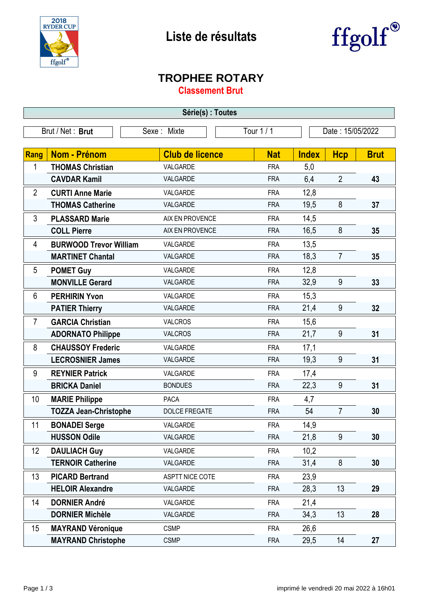



## **TROPHEE ROTARY**

**Classement Brut**

| Série(s) : Toutes |                               |                        |            |                  |                |             |  |
|-------------------|-------------------------------|------------------------|------------|------------------|----------------|-------------|--|
| Brut / Net: Brut  |                               | Sexe: Mixte            | Tour 1 / 1 | Date: 15/05/2022 |                |             |  |
|                   |                               |                        |            |                  |                |             |  |
| <b>Rang</b>       | <b>Nom - Prénom</b>           | <b>Club de licence</b> | <b>Nat</b> | <b>Index</b>     | <b>Hcp</b>     | <b>Brut</b> |  |
| 1                 | <b>THOMAS Christian</b>       | VALGARDE               | <b>FRA</b> | 5,0              |                |             |  |
|                   | <b>CAVDAR Kamil</b>           | VALGARDE               | <b>FRA</b> | 6,4              | $\overline{2}$ | 43          |  |
| $\overline{2}$    | <b>CURTI Anne Marie</b>       | VALGARDE               | <b>FRA</b> | 12,8             |                |             |  |
|                   | <b>THOMAS Catherine</b>       | VALGARDE               | <b>FRA</b> | 19,5             | 8              | 37          |  |
| 3                 | <b>PLASSARD Marie</b>         | AIX EN PROVENCE        | <b>FRA</b> | 14,5             |                |             |  |
|                   | <b>COLL Pierre</b>            | AIX EN PROVENCE        | <b>FRA</b> | 16,5             | 8              | 35          |  |
| 4                 | <b>BURWOOD Trevor William</b> | VALGARDE               | <b>FRA</b> | 13,5             |                |             |  |
|                   | <b>MARTINET Chantal</b>       | VALGARDE               | <b>FRA</b> | 18,3             | $\overline{7}$ | 35          |  |
| 5                 | <b>POMET Guy</b>              | VALGARDE               | <b>FRA</b> | 12,8             |                |             |  |
|                   | <b>MONVILLE Gerard</b>        | VALGARDE               | <b>FRA</b> | 32,9             | 9              | 33          |  |
| 6                 | <b>PERHIRIN Yvon</b>          | VALGARDE               | <b>FRA</b> | 15,3             |                |             |  |
|                   | <b>PATIER Thierry</b>         | VALGARDE               | <b>FRA</b> | 21,4             | 9              | 32          |  |
| $\overline{7}$    | <b>GARCIA Christian</b>       | <b>VALCROS</b>         | <b>FRA</b> | 15,6             |                |             |  |
|                   | <b>ADORNATO Philippe</b>      | <b>VALCROS</b>         | <b>FRA</b> | 21,7             | 9              | 31          |  |
| 8                 | <b>CHAUSSOY Frederic</b>      | VALGARDE               | <b>FRA</b> | 17,1             |                |             |  |
|                   | <b>LECROSNIER James</b>       | VALGARDE               | <b>FRA</b> | 19,3             | 9              | 31          |  |
| 9                 | <b>REYNIER Patrick</b>        | VALGARDE               | <b>FRA</b> | 17,4             |                |             |  |
|                   | <b>BRICKA Daniel</b>          | <b>BONDUES</b>         | <b>FRA</b> | 22,3             | $9\,$          | 31          |  |
| 10                | <b>MARIE Philippe</b>         | <b>PACA</b>            | <b>FRA</b> | 4,7              |                |             |  |
|                   | <b>TOZZA Jean-Christophe</b>  | <b>DOLCE FREGATE</b>   | <b>FRA</b> | 54               | $\overline{7}$ | 30          |  |
| 11                | <b>BONADEI Serge</b>          | VALGARDE               | <b>FRA</b> | 14,9             |                |             |  |
|                   | <b>HUSSON Odile</b>           | VALGARDE               | <b>FRA</b> | 21,8             | 9              | 30          |  |
| 12                | <b>DAULIACH Guy</b>           | VALGARDE               | <b>FRA</b> | 10,2             |                |             |  |
|                   | <b>TERNOIR Catherine</b>      | VALGARDE               | <b>FRA</b> | 31,4             | 8              | 30          |  |
| 13                | <b>PICARD Bertrand</b>        | ASPTT NICE COTE        | <b>FRA</b> | 23,9             |                |             |  |
|                   | <b>HELOIR Alexandre</b>       | VALGARDE               | <b>FRA</b> | 28,3             | 13             | 29          |  |
| 14                | <b>DORNIER André</b>          | VALGARDE               | <b>FRA</b> | 21,4             |                |             |  |
|                   | <b>DORNIER Michèle</b>        | VALGARDE               | <b>FRA</b> | 34,3             | 13             | 28          |  |
| 15                | <b>MAYRAND Véronique</b>      | <b>CSMP</b>            | <b>FRA</b> | 26,6             |                |             |  |
|                   | <b>MAYRAND Christophe</b>     | <b>CSMP</b>            | <b>FRA</b> | 29,5             | 14             | 27          |  |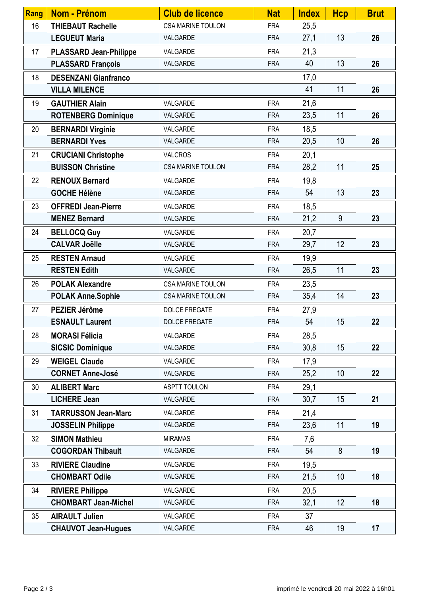| Rang | Nom - Prénom                  | <b>Club de licence</b>   | <b>Nat</b> | <b>Index</b> | <b>Hcp</b> | <b>Brut</b> |
|------|-------------------------------|--------------------------|------------|--------------|------------|-------------|
| 16   | <b>THIEBAUT Rachelle</b>      | CSA MARINE TOULON        | <b>FRA</b> | 25,5         |            |             |
|      | <b>LEGUEUT Maria</b>          | VALGARDE                 | <b>FRA</b> | 27,1         | 13         | 26          |
| 17   | <b>PLASSARD Jean-Philippe</b> | VALGARDE                 | <b>FRA</b> | 21,3         |            |             |
|      | <b>PLASSARD François</b>      | VALGARDE                 | <b>FRA</b> | 40           | 13         | 26          |
| 18   | <b>DESENZANI Gianfranco</b>   |                          |            | 17,0         |            |             |
|      | <b>VILLA MILENCE</b>          |                          |            | 41           | 11         | 26          |
| 19   | <b>GAUTHIER Alain</b>         | VALGARDE                 | <b>FRA</b> | 21,6         |            |             |
|      | <b>ROTENBERG Dominique</b>    | VALGARDE                 | <b>FRA</b> | 23,5         | 11         | 26          |
| 20   | <b>BERNARDI Virginie</b>      | VALGARDE                 | <b>FRA</b> | 18,5         |            |             |
|      | <b>BERNARDI Yves</b>          | VALGARDE                 | <b>FRA</b> | 20,5         | 10         | 26          |
| 21   | <b>CRUCIANI Christophe</b>    | <b>VALCROS</b>           | <b>FRA</b> | 20,1         |            |             |
|      | <b>BUISSON Christine</b>      | <b>CSA MARINE TOULON</b> | <b>FRA</b> | 28,2         | 11         | 25          |
| 22   | <b>RENOUX Bernard</b>         | VALGARDE                 | <b>FRA</b> | 19,8         |            |             |
|      | <b>GOCHE Hélène</b>           | VALGARDE                 | <b>FRA</b> | 54           | 13         | 23          |
| 23   | <b>OFFREDI Jean-Pierre</b>    | VALGARDE                 | <b>FRA</b> | 18,5         |            |             |
|      | <b>MENEZ Bernard</b>          | VALGARDE                 | <b>FRA</b> | 21,2         | 9          | 23          |
| 24   | <b>BELLOCQ Guy</b>            | VALGARDE                 | <b>FRA</b> | 20,7         |            |             |
|      | <b>CALVAR Joëlle</b>          | VALGARDE                 | <b>FRA</b> | 29,7         | 12         | 23          |
| 25   | <b>RESTEN Arnaud</b>          | VALGARDE                 | <b>FRA</b> | 19,9         |            |             |
|      | <b>RESTEN Edith</b>           | VALGARDE                 | <b>FRA</b> | 26,5         | 11         | 23          |
| 26   | <b>POLAK Alexandre</b>        | <b>CSA MARINE TOULON</b> | <b>FRA</b> | 23,5         |            |             |
|      | <b>POLAK Anne.Sophie</b>      | <b>CSA MARINE TOULON</b> | <b>FRA</b> | 35,4         | 14         | 23          |
| 27   | PEZIER Jérôme                 | DOLCE FREGATE            | <b>FRA</b> | 27,9         |            |             |
|      | <b>ESNAULT Laurent</b>        | <b>DOLCE FREGATE</b>     | <b>FRA</b> | 54           | 15         | 22          |
| 28   | <b>MORASI Félicia</b>         | VALGARDE                 | <b>FRA</b> | 28,5         |            |             |
|      | <b>SICSIC Dominique</b>       | VALGARDE                 | <b>FRA</b> | 30,8         | 15         | 22          |
| 29   | <b>WEIGEL Claude</b>          | VALGARDE                 | <b>FRA</b> | 17,9         |            |             |
|      | <b>CORNET Anne-José</b>       | VALGARDE                 | <b>FRA</b> | 25,2         | 10         | 22          |
| 30   | <b>ALIBERT Marc</b>           | <b>ASPTT TOULON</b>      | <b>FRA</b> | 29,1         |            |             |
|      | <b>LICHERE Jean</b>           | VALGARDE                 | <b>FRA</b> | 30,7         | 15         | 21          |
| 31   | <b>TARRUSSON Jean-Marc</b>    | VALGARDE                 | <b>FRA</b> | 21,4         |            |             |
|      | <b>JOSSELIN Philippe</b>      | VALGARDE                 | <b>FRA</b> | 23,6         | 11         | 19          |
| 32   | <b>SIMON Mathieu</b>          | <b>MIRAMAS</b>           | <b>FRA</b> | 7,6          |            |             |
|      | <b>COGORDAN Thibault</b>      | VALGARDE                 | <b>FRA</b> | 54           | 8          | 19          |
| 33   | <b>RIVIERE Claudine</b>       | VALGARDE                 | <b>FRA</b> | 19,5         |            |             |
|      | <b>CHOMBART Odile</b>         | VALGARDE                 | <b>FRA</b> | 21,5         | 10         | 18          |
| 34   | <b>RIVIERE Philippe</b>       | VALGARDE                 | <b>FRA</b> | 20,5         |            |             |
|      | <b>CHOMBART Jean-Michel</b>   | VALGARDE                 | <b>FRA</b> | 32,1         | 12         | 18          |
| 35   | <b>AIRAULT Julien</b>         | VALGARDE                 | <b>FRA</b> | 37           |            |             |
|      | <b>CHAUVOT Jean-Hugues</b>    | VALGARDE                 | <b>FRA</b> | 46           | 19         | 17          |